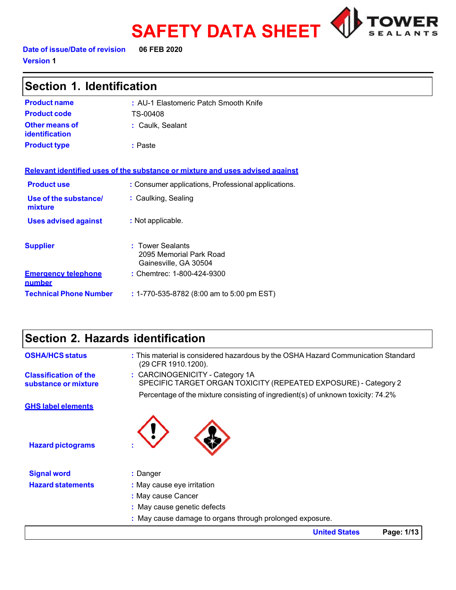

**Date of issue/Date of revision 06 FEB 2020 Version 1** 

| Section 1. Identification                   |                                                                               |  |  |
|---------------------------------------------|-------------------------------------------------------------------------------|--|--|
| <b>Product name</b>                         | : AU-1 Elastomeric Patch Smooth Knife                                         |  |  |
| <b>Product code</b>                         | TS-00408                                                                      |  |  |
| Other means of<br><b>identification</b>     | : Caulk, Sealant                                                              |  |  |
| <b>Product type</b>                         | : Paste                                                                       |  |  |
|                                             |                                                                               |  |  |
|                                             | Relevant identified uses of the substance or mixture and uses advised against |  |  |
| <b>Product use</b>                          | : Consumer applications, Professional applications.                           |  |  |
| Use of the substance/<br>mixture            | : Caulking, Sealing                                                           |  |  |
| <b>Uses advised against</b>                 | : Not applicable.                                                             |  |  |
| <b>Supplier</b>                             | : Tower Sealants<br>2095 Memorial Park Road<br>Gainesville, GA 30504          |  |  |
| <b>Emergency telephone</b><br><u>number</u> | : Chemtrec: 1-800-424-9300                                                    |  |  |
| <b>Technical Phone Number</b>               | : 1-770-535-8782 (8:00 am to 5:00 pm EST)                                     |  |  |

# **Section 2. Hazards identification**

| <b>OSHA/HCS status</b>                               | : This material is considered hazardous by the OSHA Hazard Communication Standard<br>(29 CFR 1910.1200). |  |  |
|------------------------------------------------------|----------------------------------------------------------------------------------------------------------|--|--|
| <b>Classification of the</b><br>substance or mixture | : CARCINOGENICITY - Category 1A<br>SPECIFIC TARGET ORGAN TOXICITY (REPEATED EXPOSURE) - Category 2       |  |  |
| <b>GHS label elements</b>                            | Percentage of the mixture consisting of ingredient(s) of unknown toxicity: 74.2%                         |  |  |
|                                                      |                                                                                                          |  |  |
| <b>Hazard pictograms</b>                             |                                                                                                          |  |  |
| <b>Signal word</b>                                   | : Danger                                                                                                 |  |  |
| <b>Hazard statements</b>                             | : May cause eye irritation                                                                               |  |  |
|                                                      | : May cause Cancer                                                                                       |  |  |
|                                                      | : May cause genetic defects                                                                              |  |  |
|                                                      | : May cause damage to organs through prolonged exposure.                                                 |  |  |
|                                                      | Page: 1/13<br><b>United States</b>                                                                       |  |  |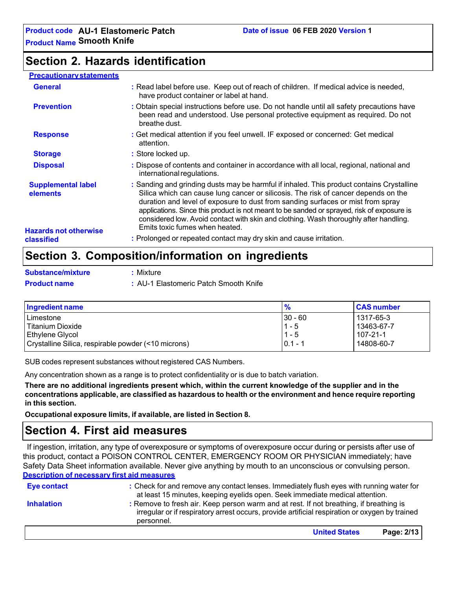### **Section 2. Hazards identification**

### **Precautionarystatements**

| <b>General</b>                                                        | : Read label before use. Keep out of reach of children. If medical advice is needed,<br>have product container or label at hand.                                                                                                                                                                                                                                                                                                                                                            |
|-----------------------------------------------------------------------|---------------------------------------------------------------------------------------------------------------------------------------------------------------------------------------------------------------------------------------------------------------------------------------------------------------------------------------------------------------------------------------------------------------------------------------------------------------------------------------------|
| <b>Prevention</b>                                                     | : Obtain special instructions before use. Do not handle until all safety precautions have<br>been read and understood. Use personal protective equipment as required. Do not<br>breathe dust.                                                                                                                                                                                                                                                                                               |
| <b>Response</b>                                                       | : Get medical attention if you feel unwell. IF exposed or concerned: Get medical<br>attention.                                                                                                                                                                                                                                                                                                                                                                                              |
| <b>Storage</b>                                                        | : Store locked up.                                                                                                                                                                                                                                                                                                                                                                                                                                                                          |
| <b>Disposal</b>                                                       | : Dispose of contents and container in accordance with all local, regional, national and<br>international regulations.                                                                                                                                                                                                                                                                                                                                                                      |
| <b>Supplemental label</b><br>elements<br><b>Hazards not otherwise</b> | : Sanding and grinding dusts may be harmful if inhaled. This product contains Crystalline<br>Silica which can cause lung cancer or silicosis. The risk of cancer depends on the<br>duration and level of exposure to dust from sanding surfaces or mist from spray<br>applications. Since this product is not meant to be sanded or sprayed, risk of exposure is<br>considered low. Avoid contact with skin and clothing. Wash thoroughly after handling.<br>Emits toxic fumes when heated. |
| classified                                                            | : Prolonged or repeated contact may dry skin and cause irritation.                                                                                                                                                                                                                                                                                                                                                                                                                          |
|                                                                       |                                                                                                                                                                                                                                                                                                                                                                                                                                                                                             |

# **Section 3. Composition/information on ingredients**

|   |  | <b>Substance/mixture</b> |  |
|---|--|--------------------------|--|
| . |  |                          |  |

**Substance/mixture :** Mixture

**Product name :** AU-1 Elastomeric Patch Smooth Knife

| Ingredient name                                     | %         | <b>CAS number</b> |
|-----------------------------------------------------|-----------|-------------------|
| Limestone                                           | $30 - 60$ | 1317-65-3         |
| Titanium Dioxide                                    | $1 - 5$   | 13463-67-7        |
| Ethylene Glycol                                     | 1 - 5     | 107-21-1          |
| Crystalline Silica, respirable powder (<10 microns) | $0.1 - 1$ | 14808-60-7        |

SUB codes represent substances without registered CAS Numbers.

Any concentration shown as a range is to protect confidentiality or is due to batch variation.

**There are no additional ingredients present which, within the current knowledge of the supplier and in the concentrations applicable, are classified as hazardous to health or the environment and hence require reporting in this section.**

**Occupational exposure limits, if available, are listed in Section 8.**

### **Section 4. First aid measures**

If ingestion, irritation, any type of overexposure or symptoms of overexposure occur during or persists after use of this product, contact a POISON CONTROL CENTER, EMERGENCY ROOM OR PHYSICIAN immediately; have Safety Data Sheet information available. Never give anything by mouth to an unconscious or convulsing person. **Description of necessary first aid measures**

| Eye contact       | : Check for and remove any contact lenses. Immediately flush eyes with running water for<br>at least 15 minutes, keeping eyelids open. Seek immediate medical attention.                               |            |
|-------------------|--------------------------------------------------------------------------------------------------------------------------------------------------------------------------------------------------------|------------|
| <b>Inhalation</b> | : Remove to fresh air. Keep person warm and at rest. If not breathing, if breathing is<br>irregular or if respiratory arrest occurs, provide artificial respiration or oxygen by trained<br>personnel. |            |
|                   | <b>United States</b>                                                                                                                                                                                   | Page: 2/13 |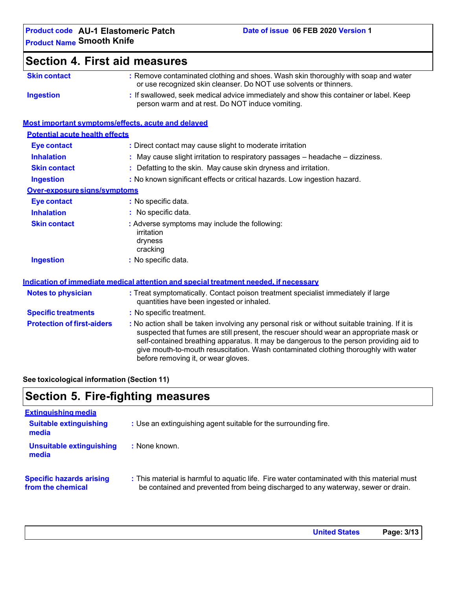| <b>Section 4. First aid measures</b>               |                                                                                                                                                                                                                                                                                                                                                                                                                 |
|----------------------------------------------------|-----------------------------------------------------------------------------------------------------------------------------------------------------------------------------------------------------------------------------------------------------------------------------------------------------------------------------------------------------------------------------------------------------------------|
| <b>Skin contact</b>                                | : Remove contaminated clothing and shoes. Wash skin thoroughly with soap and water<br>or use recognized skin cleanser. Do NOT use solvents or thinners.                                                                                                                                                                                                                                                         |
| <b>Ingestion</b>                                   | : If swallowed, seek medical advice immediately and show this container or label. Keep<br>person warm and at rest. Do NOT induce vomiting.                                                                                                                                                                                                                                                                      |
| Most important symptoms/effects, acute and delayed |                                                                                                                                                                                                                                                                                                                                                                                                                 |
| <b>Potential acute health effects</b>              |                                                                                                                                                                                                                                                                                                                                                                                                                 |
| <b>Eye contact</b>                                 | : Direct contact may cause slight to moderate irritation                                                                                                                                                                                                                                                                                                                                                        |
| <b>Inhalation</b>                                  | : May cause slight irritation to respiratory passages - headache - dizziness.                                                                                                                                                                                                                                                                                                                                   |
| <b>Skin contact</b>                                | Defatting to the skin. May cause skin dryness and irritation.                                                                                                                                                                                                                                                                                                                                                   |
| <b>Ingestion</b>                                   | : No known significant effects or critical hazards. Low ingestion hazard.                                                                                                                                                                                                                                                                                                                                       |
| Over-exposure signs/symptoms                       |                                                                                                                                                                                                                                                                                                                                                                                                                 |
| <b>Eye contact</b>                                 | : No specific data.                                                                                                                                                                                                                                                                                                                                                                                             |
| <b>Inhalation</b>                                  | : No specific data.                                                                                                                                                                                                                                                                                                                                                                                             |
| <b>Skin contact</b>                                | : Adverse symptoms may include the following:<br>irritation<br>dryness<br>cracking                                                                                                                                                                                                                                                                                                                              |
| <b>Ingestion</b>                                   | : No specific data.                                                                                                                                                                                                                                                                                                                                                                                             |
|                                                    | Indication of immediate medical attention and special treatment needed, if necessary                                                                                                                                                                                                                                                                                                                            |
| <b>Notes to physician</b>                          | : Treat symptomatically. Contact poison treatment specialist immediately if large<br>quantities have been ingested or inhaled.                                                                                                                                                                                                                                                                                  |
| <b>Specific treatments</b>                         | : No specific treatment.                                                                                                                                                                                                                                                                                                                                                                                        |
| <b>Protection of first-aiders</b>                  | : No action shall be taken involving any personal risk or without suitable training. If it is<br>suspected that fumes are still present, the rescuer should wear an appropriate mask or<br>self-contained breathing apparatus. It may be dangerous to the person providing aid to<br>give mouth-to-mouth resuscitation. Wash contaminated clothing thoroughly with water<br>before removing it, or wear gloves. |

### **See toxicological information (Section 11)**

# **Section 5. Fire-fighting measures**

| <b>Extinguishing media</b>                           |                                                                                                                                                                                  |
|------------------------------------------------------|----------------------------------------------------------------------------------------------------------------------------------------------------------------------------------|
| <b>Suitable extinguishing</b><br>media               | : Use an extinguishing agent suitable for the surrounding fire.                                                                                                                  |
| <b>Unsuitable extinguishing</b><br>media             | : None known.                                                                                                                                                                    |
| <b>Specific hazards arising</b><br>from the chemical | : This material is harmful to aquatic life. Fire water contaminated with this material must<br>be contained and prevented from being discharged to any waterway, sewer or drain. |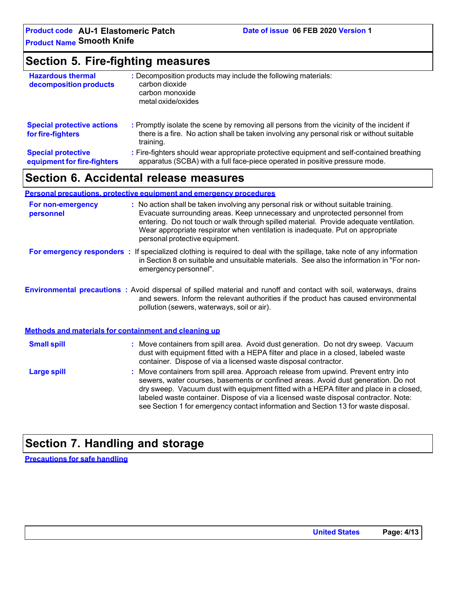# **Section 5. Fire-fighting measures**

| <b>Hazardous thermal</b><br>decomposition products       | : Decomposition products may include the following materials:<br>carbon dioxide<br>carbon monoxide<br>metal oxide/oxides                                                                            |
|----------------------------------------------------------|-----------------------------------------------------------------------------------------------------------------------------------------------------------------------------------------------------|
| <b>Special protective actions</b><br>for fire-fighters   | : Promptly isolate the scene by removing all persons from the vicinity of the incident if<br>there is a fire. No action shall be taken involving any personal risk or without suitable<br>training. |
| <b>Special protective</b><br>equipment for fire-fighters | : Fire-fighters should wear appropriate protective equipment and self-contained breathing<br>apparatus (SCBA) with a full face-piece operated in positive pressure mode.                            |

# **Section 6. Accidental release measures**

### **Personal precautions, protective equipment and emergency procedures**

| For non-emergency<br>personnel | : No action shall be taken involving any personal risk or without suitable training.<br>Evacuate surrounding areas. Keep unnecessary and unprotected personnel from<br>entering. Do not touch or walk through spilled material. Provide adequate ventilation.<br>Wear appropriate respirator when ventilation is inadequate. Put on appropriate<br>personal protective equipment.                                                               |
|--------------------------------|-------------------------------------------------------------------------------------------------------------------------------------------------------------------------------------------------------------------------------------------------------------------------------------------------------------------------------------------------------------------------------------------------------------------------------------------------|
|                                | For emergency responders : If specialized clothing is required to deal with the spillage, take note of any information<br>in Section 8 on suitable and unsuitable materials. See also the information in "For non-<br>emergency personnel".                                                                                                                                                                                                     |
|                                | <b>Environmental precautions</b> : Avoid dispersal of spilled material and runoff and contact with soil, waterways, drains<br>and sewers. Inform the relevant authorities if the product has caused environmental<br>pollution (sewers, waterways, soil or air).                                                                                                                                                                                |
|                                | Methods and materials for containment and cleaning up                                                                                                                                                                                                                                                                                                                                                                                           |
| <b>Small spill</b>             | : Move containers from spill area. Avoid dust generation. Do not dry sweep. Vacuum<br>dust with equipment fitted with a HEPA filter and place in a closed, labeled waste<br>container. Dispose of via a licensed waste disposal contractor.                                                                                                                                                                                                     |
| <b>Large spill</b>             | : Move containers from spill area. Approach release from upwind. Prevent entry into<br>sewers, water courses, basements or confined areas. Avoid dust generation. Do not<br>dry sweep. Vacuum dust with equipment fitted with a HEPA filter and place in a closed,<br>labeled waste container. Dispose of via a licensed waste disposal contractor. Note:<br>see Section 1 for emergency contact information and Section 13 for waste disposal. |
|                                |                                                                                                                                                                                                                                                                                                                                                                                                                                                 |

## **Section 7. Handling and storage**

**Precautions for safe handling**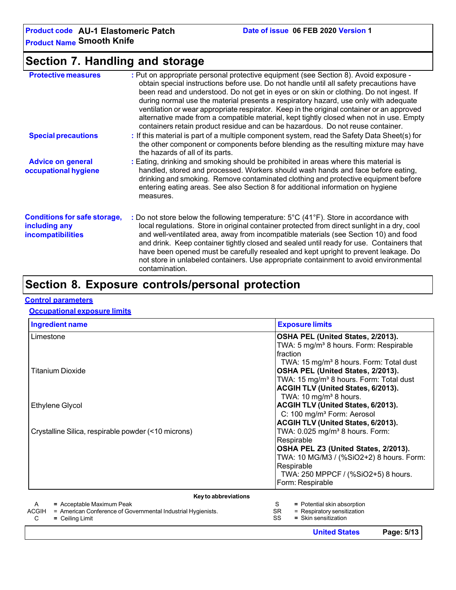# **Section 7. Handling and storage**

| <b>Protective measures</b>                                                       | : Put on appropriate personal protective equipment (see Section 8). Avoid exposure -<br>obtain special instructions before use. Do not handle until all safety precautions have<br>been read and understood. Do not get in eyes or on skin or clothing. Do not ingest. If<br>during normal use the material presents a respiratory hazard, use only with adequate<br>ventilation or wear appropriate respirator. Keep in the original container or an approved<br>alternative made from a compatible material, kept tightly closed when not in use. Empty<br>containers retain product residue and can be hazardous. Do not reuse container. |
|----------------------------------------------------------------------------------|----------------------------------------------------------------------------------------------------------------------------------------------------------------------------------------------------------------------------------------------------------------------------------------------------------------------------------------------------------------------------------------------------------------------------------------------------------------------------------------------------------------------------------------------------------------------------------------------------------------------------------------------|
| <b>Special precautions</b>                                                       | : If this material is part of a multiple component system, read the Safety Data Sheet(s) for<br>the other component or components before blending as the resulting mixture may have<br>the hazards of all of its parts.                                                                                                                                                                                                                                                                                                                                                                                                                      |
| <b>Advice on general</b><br>occupational hygiene                                 | : Eating, drinking and smoking should be prohibited in areas where this material is<br>handled, stored and processed. Workers should wash hands and face before eating,<br>drinking and smoking. Remove contaminated clothing and protective equipment before<br>entering eating areas. See also Section 8 for additional information on hygiene<br>measures.                                                                                                                                                                                                                                                                                |
| <b>Conditions for safe storage,</b><br>including any<br><b>incompatibilities</b> | : Do not store below the following temperature: 5°C (41°F). Store in accordance with<br>local regulations. Store in original container protected from direct sunlight in a dry, cool<br>and well-ventilated area, away from incompatible materials (see Section 10) and food<br>and drink. Keep container tightly closed and sealed until ready for use. Containers that<br>have been opened must be carefully resealed and kept upright to prevent leakage. Do<br>not store in unlabeled containers. Use appropriate containment to avoid environmental<br>contamination.                                                                   |

# **Section 8. Exposure controls/personal protection**

### **Control parameters**

### **Occupational exposure limits**

| Ingredient name                                                              | <b>Exposure limits</b>                              |
|------------------------------------------------------------------------------|-----------------------------------------------------|
| Limestone                                                                    | OSHA PEL (United States, 2/2013).                   |
|                                                                              | TWA: 5 mg/m <sup>3</sup> 8 hours. Form: Respirable  |
|                                                                              | <b>I</b> fraction                                   |
|                                                                              | TWA: 15 mg/m <sup>3</sup> 8 hours. Form: Total dust |
| <b>Titanium Dioxide</b>                                                      | OSHA PEL (United States, 2/2013).                   |
|                                                                              | TWA: 15 mg/m <sup>3</sup> 8 hours. Form: Total dust |
|                                                                              | ACGIH TLV (United States, 6/2013).                  |
|                                                                              | TWA: $10 \text{ mg/m}^3$ 8 hours.                   |
| Ethylene Glycol                                                              | ACGIH TLV (United States, 6/2013).                  |
|                                                                              | C: 100 mg/m <sup>3</sup> Form: Aerosol              |
|                                                                              | ACGIH TLV (United States, 6/2013).                  |
| Crystalline Silica, respirable powder (<10 microns)                          | TWA: 0.025 mg/m <sup>3</sup> 8 hours. Form:         |
|                                                                              | Respirable                                          |
|                                                                              | OSHA PEL Z3 (United States, 2/2013).                |
|                                                                              | TWA: 10 MG/M3 / (%SiO2+2) 8 hours. Form:            |
|                                                                              | Respirable                                          |
|                                                                              | TWA: 250 MPPCF / (%SiO2+5) 8 hours.                 |
|                                                                              | Form: Respirable                                    |
| Key to abbreviations                                                         |                                                     |
| $=$ Acceptable Maximum Peak<br>A                                             | S<br>= Potential skin absorption                    |
| <b>ACGIH</b><br>= American Conference of Governmental Industrial Hygienists. | <b>SR</b><br>= Respiratory sensitization            |

 $SR = Respiratory sensitivity  
\nSS = Skin sensitivityization$ = Skin sensitization

C **=** Ceiling Limit

**United States Page: 5/13**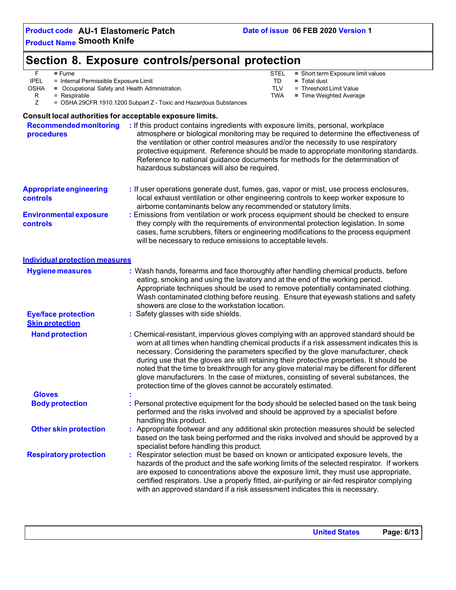# **Section 8. Exposure controls/personal protection**

|             | = Fume                                | STEL | = Short term Exposure limit values |
|-------------|---------------------------------------|------|------------------------------------|
| <b>IPEL</b> | = Internal Permissible Exposure Limit |      | Total dust<br>$=$                  |

OSHA = Occupational Safety and Health Administration. TLV = Threshold Limit Value<br>R = Respirable **R** = Respirable **R** = Time Weighted Average

R = Respirable **Fig. 2018** = Respirable **Fig. 2018 EXECUTE:** TWA = Time Weighted Average <br>Z = OSHA 29CFR 1910.1200 Subpart Z - Toxic and Hazardous Substances = OSHA 29CFR 1910.1200 Subpart Z - Toxic and Hazardous Substances

### **Consult local authorities for acceptable exposure limits.**

| <b>Recommended monitoring</b><br>procedures          | : If this product contains ingredients with exposure limits, personal, workplace<br>atmosphere or biological monitoring may be required to determine the effectiveness of<br>the ventilation or other control measures and/or the necessity to use respiratory<br>protective equipment. Reference should be made to appropriate monitoring standards.<br>Reference to national guidance documents for methods for the determination of<br>hazardous substances will also be required.                                                                                                                                  |
|------------------------------------------------------|------------------------------------------------------------------------------------------------------------------------------------------------------------------------------------------------------------------------------------------------------------------------------------------------------------------------------------------------------------------------------------------------------------------------------------------------------------------------------------------------------------------------------------------------------------------------------------------------------------------------|
| <b>Appropriate engineering</b><br>controls           | : If user operations generate dust, fumes, gas, vapor or mist, use process enclosures,<br>local exhaust ventilation or other engineering controls to keep worker exposure to<br>airborne contaminants below any recommended or statutory limits.                                                                                                                                                                                                                                                                                                                                                                       |
| <b>Environmental exposure</b><br>controls            | : Emissions from ventilation or work process equipment should be checked to ensure<br>they comply with the requirements of environmental protection legislation. In some<br>cases, fume scrubbers, filters or engineering modifications to the process equipment<br>will be necessary to reduce emissions to acceptable levels.                                                                                                                                                                                                                                                                                        |
| Individual protection measures                       |                                                                                                                                                                                                                                                                                                                                                                                                                                                                                                                                                                                                                        |
| <b>Hygiene measures</b>                              | : Wash hands, forearms and face thoroughly after handling chemical products, before<br>eating, smoking and using the lavatory and at the end of the working period.<br>Appropriate techniques should be used to remove potentially contaminated clothing.<br>Wash contaminated clothing before reusing. Ensure that eyewash stations and safety<br>showers are close to the workstation location.                                                                                                                                                                                                                      |
| <b>Eye/face protection</b><br><b>Skin protection</b> | : Safety glasses with side shields.                                                                                                                                                                                                                                                                                                                                                                                                                                                                                                                                                                                    |
| <b>Hand protection</b>                               | : Chemical-resistant, impervious gloves complying with an approved standard should be<br>worn at all times when handling chemical products if a risk assessment indicates this is<br>necessary. Considering the parameters specified by the glove manufacturer, check<br>during use that the gloves are still retaining their protective properties. It should be<br>noted that the time to breakthrough for any glove material may be different for different<br>glove manufacturers. In the case of mixtures, consisting of several substances, the<br>protection time of the gloves cannot be accurately estimated. |
| <b>Gloves</b>                                        |                                                                                                                                                                                                                                                                                                                                                                                                                                                                                                                                                                                                                        |
| <b>Body protection</b>                               | : Personal protective equipment for the body should be selected based on the task being<br>performed and the risks involved and should be approved by a specialist before<br>handling this product.                                                                                                                                                                                                                                                                                                                                                                                                                    |
| <b>Other skin protection</b>                         | : Appropriate footwear and any additional skin protection measures should be selected<br>based on the task being performed and the risks involved and should be approved by a<br>specialist before handling this product.                                                                                                                                                                                                                                                                                                                                                                                              |
| <b>Respiratory protection</b>                        | : Respirator selection must be based on known or anticipated exposure levels, the<br>hazards of the product and the safe working limits of the selected respirator. If workers<br>are exposed to concentrations above the exposure limit, they must use appropriate,<br>certified respirators. Use a properly fitted, air-purifying or air-fed respirator complying<br>with an approved standard if a risk assessment indicates this is necessary.                                                                                                                                                                     |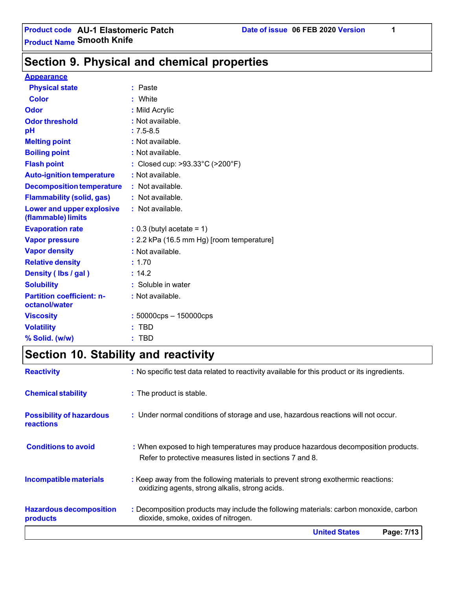**Section 9. Physical and chemical properties**

#### **Appearance**

| <b>Physical state</b>                                  | Paste                                                |
|--------------------------------------------------------|------------------------------------------------------|
| <b>Color</b>                                           | White                                                |
| Odor                                                   | : Mild Acrylic                                       |
| <b>Odor threshold</b>                                  | : Not available.                                     |
| рH                                                     | $: 7.5 - 8.5$                                        |
| <b>Melting point</b>                                   | : Not available.                                     |
| <b>Boiling point</b>                                   | : Not available.                                     |
| <b>Flash point</b>                                     | : Closed cup: $>93.33^{\circ}$ C ( $>200^{\circ}$ F) |
| <b>Auto-ignition temperature</b>                       | : Not available.                                     |
| <b>Decomposition temperature</b>                       | : Not available.                                     |
| <b>Flammability (solid, gas)</b>                       | : Not available.                                     |
| <b>Lower and upper explosive</b><br>(flammable) limits | : Not available.                                     |
| <b>Evaporation rate</b>                                | $: 0.3$ (butyl acetate = 1)                          |
| <b>Vapor pressure</b>                                  | : 2.2 kPa (16.5 mm Hg) [room temperature]            |
| <b>Vapor density</b>                                   | : Not available.                                     |
| <b>Relative density</b>                                | : 1.70                                               |
| Density (Ibs / gal)                                    | : 14.2                                               |
| <b>Solubility</b>                                      | : Soluble in water                                   |
| <b>Partition coefficient: n-</b><br>octanol/water      | : Not available.                                     |
| <b>Viscosity</b>                                       | $: 50000$ cps $- 150000$ cps                         |
| <b>Volatility</b>                                      | <b>TBD</b>                                           |
| % Solid. (w/w)                                         | TBD                                                  |
|                                                        |                                                      |

# **Section 10. Stability and reactivity**

|                                                     | <b>United States</b><br>Page: 7/13                                                                                                            |
|-----------------------------------------------------|-----------------------------------------------------------------------------------------------------------------------------------------------|
| <b>Hazardous decomposition</b><br>products          | : Decomposition products may include the following materials: carbon monoxide, carbon<br>dioxide, smoke, oxides of nitrogen.                  |
| Incompatible materials                              | : Keep away from the following materials to prevent strong exothermic reactions:<br>oxidizing agents, strong alkalis, strong acids.           |
| <b>Conditions to avoid</b>                          | : When exposed to high temperatures may produce hazardous decomposition products.<br>Refer to protective measures listed in sections 7 and 8. |
| <b>Possibility of hazardous</b><br><b>reactions</b> | : Under normal conditions of storage and use, hazardous reactions will not occur.                                                             |
| <b>Chemical stability</b>                           | : The product is stable.                                                                                                                      |
| <b>Reactivity</b>                                   | : No specific test data related to reactivity available for this product or its ingredients.                                                  |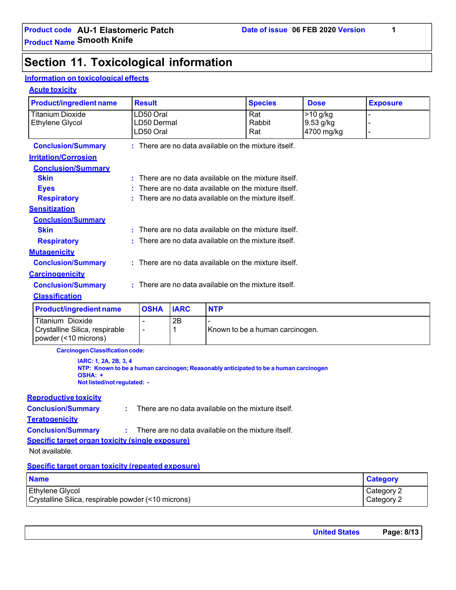# **Section 11. Toxicological information**

### **Information on toxicological effects**

### **Acute toxicity**

| <b>Product/ingredient name</b>                                                    | <b>Result</b>                                      |  |  | <b>Species</b>                                                                       | <b>Dose</b> | <b>Exposure</b> |
|-----------------------------------------------------------------------------------|----------------------------------------------------|--|--|--------------------------------------------------------------------------------------|-------------|-----------------|
| <b>Titanium Dioxide</b>                                                           | LD50 Oral                                          |  |  | Rat                                                                                  | $>10$ g/kg  |                 |
| <b>Ethylene Glycol</b>                                                            | LD50 Dermal                                        |  |  | Rabbit                                                                               | 9.53 g/kg   |                 |
|                                                                                   | LD50 Oral                                          |  |  | Rat                                                                                  | 4700 mg/kg  |                 |
| <b>Conclusion/Summary</b>                                                         |                                                    |  |  | : There are no data available on the mixture itself.                                 |             |                 |
| <b>Irritation/Corrosion</b>                                                       |                                                    |  |  |                                                                                      |             |                 |
| <b>Conclusion/Summary</b>                                                         |                                                    |  |  |                                                                                      |             |                 |
| <b>Skin</b>                                                                       |                                                    |  |  | There are no data available on the mixture itself.                                   |             |                 |
| <b>Eyes</b>                                                                       |                                                    |  |  | There are no data available on the mixture itself.                                   |             |                 |
| <b>Respiratory</b>                                                                |                                                    |  |  | There are no data available on the mixture itself.                                   |             |                 |
| <b>Sensitization</b>                                                              |                                                    |  |  |                                                                                      |             |                 |
| <b>Conclusion/Summary</b>                                                         |                                                    |  |  |                                                                                      |             |                 |
| <b>Skin</b>                                                                       | There are no data available on the mixture itself. |  |  |                                                                                      |             |                 |
| There are no data available on the mixture itself.<br><b>Respiratory</b>          |                                                    |  |  |                                                                                      |             |                 |
| <b>Mutagenicity</b>                                                               |                                                    |  |  |                                                                                      |             |                 |
| : There are no data available on the mixture itself.<br><b>Conclusion/Summary</b> |                                                    |  |  |                                                                                      |             |                 |
| <b>Carcinogenicity</b>                                                            |                                                    |  |  |                                                                                      |             |                 |
| : There are no data available on the mixture itself.<br><b>Conclusion/Summary</b> |                                                    |  |  |                                                                                      |             |                 |
| <b>Classification</b>                                                             |                                                    |  |  |                                                                                      |             |                 |
| <b>IARC</b><br><b>OSHA</b><br><b>NTP</b><br><b>Product/ingredient name</b>        |                                                    |  |  |                                                                                      |             |                 |
| 2B<br><b>Titanium Dioxide</b>                                                     |                                                    |  |  |                                                                                      |             |                 |
| Crystalline Silica, respirable<br>Known to be a human carcinogen.<br>1<br>۰       |                                                    |  |  |                                                                                      |             |                 |
| powder (<10 microns)                                                              |                                                    |  |  |                                                                                      |             |                 |
| <b>Carcinogen Classification code:</b>                                            |                                                    |  |  |                                                                                      |             |                 |
| IARC: 1, 2A, 2B, 3, 4                                                             |                                                    |  |  |                                                                                      |             |                 |
|                                                                                   |                                                    |  |  | NTP: Known to be a human carcinogen; Reasonably anticipated to be a human carcinogen |             |                 |
| OSHA: +                                                                           |                                                    |  |  |                                                                                      |             |                 |
|                                                                                   | Not listed/not regulated: -                        |  |  |                                                                                      |             |                 |

### **Reproductive toxicity**

**Conclusion/Summary :**  : There are no data available on the mixture itself.

#### **Teratogenicity**

**Conclusion/Summary :**  : There are no data available on the mixture itself.

### **Specific target organ toxicity (single exposure)**

Not available.

#### **Specific target organ toxicity (repeated exposure)**

| <b>Name</b>                                         | <b>Category</b> |
|-----------------------------------------------------|-----------------|
| Ethylene Glycol                                     | Category 2      |
| Crystalline Silica, respirable powder (<10 microns) | Category 2      |

|--|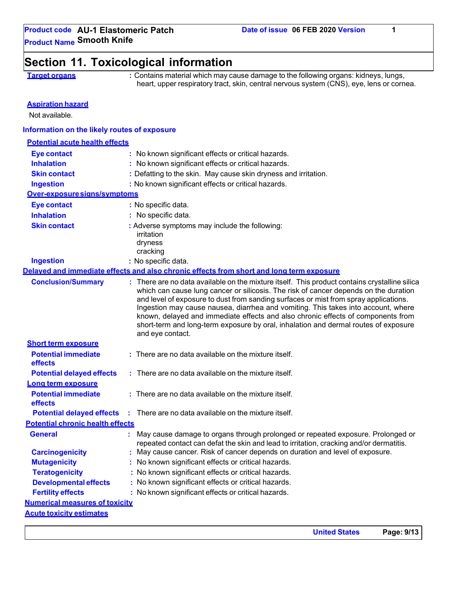## **Section 11. Toxicological information**

**Target organs : Contains material which may cause damage to the following organs: kidneys, lungs,** heart, upper respiratory tract, skin, central nervous system (CNS), eye, lens or cornea.

### **Aspiration hazard**

Not available.

### **Information on the likely routes of exposure**

### **Potential acute health effects**

| <b>Eye contact</b>                           | : No known significant effects or critical hazards.                                                                                                                                                                                                                                                                                                                                                                                                                                                                                                               |
|----------------------------------------------|-------------------------------------------------------------------------------------------------------------------------------------------------------------------------------------------------------------------------------------------------------------------------------------------------------------------------------------------------------------------------------------------------------------------------------------------------------------------------------------------------------------------------------------------------------------------|
| <b>Inhalation</b>                            | : No known significant effects or critical hazards.                                                                                                                                                                                                                                                                                                                                                                                                                                                                                                               |
| <b>Skin contact</b>                          | : Defatting to the skin. May cause skin dryness and irritation.                                                                                                                                                                                                                                                                                                                                                                                                                                                                                                   |
| <b>Ingestion</b>                             | : No known significant effects or critical hazards.                                                                                                                                                                                                                                                                                                                                                                                                                                                                                                               |
| Over-exposure signs/symptoms                 |                                                                                                                                                                                                                                                                                                                                                                                                                                                                                                                                                                   |
| <b>Eye contact</b>                           | : No specific data.                                                                                                                                                                                                                                                                                                                                                                                                                                                                                                                                               |
| <b>Inhalation</b>                            | : No specific data.                                                                                                                                                                                                                                                                                                                                                                                                                                                                                                                                               |
| <b>Skin contact</b>                          | : Adverse symptoms may include the following:                                                                                                                                                                                                                                                                                                                                                                                                                                                                                                                     |
|                                              | irritation                                                                                                                                                                                                                                                                                                                                                                                                                                                                                                                                                        |
|                                              | dryness<br>cracking                                                                                                                                                                                                                                                                                                                                                                                                                                                                                                                                               |
| <b>Ingestion</b>                             | : No specific data.                                                                                                                                                                                                                                                                                                                                                                                                                                                                                                                                               |
|                                              | Delayed and immediate effects and also chronic effects from short and long term exposure                                                                                                                                                                                                                                                                                                                                                                                                                                                                          |
| <b>Conclusion/Summary</b>                    | : There are no data available on the mixture itself. This product contains crystalline silica<br>which can cause lung cancer or silicosis. The risk of cancer depends on the duration<br>and level of exposure to dust from sanding surfaces or mist from spray applications.<br>Ingestion may cause nausea, diarrhea and vomiting. This takes into account, where<br>known, delayed and immediate effects and also chronic effects of components from<br>short-term and long-term exposure by oral, inhalation and dermal routes of exposure<br>and eye contact. |
| <b>Short term exposure</b>                   |                                                                                                                                                                                                                                                                                                                                                                                                                                                                                                                                                                   |
| <b>Potential immediate</b><br><b>effects</b> | $:$ There are no data available on the mixture itself.                                                                                                                                                                                                                                                                                                                                                                                                                                                                                                            |
| <b>Potential delayed effects</b>             | $:$ There are no data available on the mixture itself.                                                                                                                                                                                                                                                                                                                                                                                                                                                                                                            |
| Long term exposure                           |                                                                                                                                                                                                                                                                                                                                                                                                                                                                                                                                                                   |
| <b>Potential immediate</b><br><b>effects</b> | : There are no data available on the mixture itself.                                                                                                                                                                                                                                                                                                                                                                                                                                                                                                              |
| <b>Potential delayed effects</b>             | $\therefore$ There are no data available on the mixture itself.                                                                                                                                                                                                                                                                                                                                                                                                                                                                                                   |
| <b>Potential chronic health effects</b>      |                                                                                                                                                                                                                                                                                                                                                                                                                                                                                                                                                                   |
| <b>General</b>                               | May cause damage to organs through prolonged or repeated exposure. Prolonged or                                                                                                                                                                                                                                                                                                                                                                                                                                                                                   |
|                                              | repeated contact can defat the skin and lead to irritation, cracking and/or dermatitis.                                                                                                                                                                                                                                                                                                                                                                                                                                                                           |
| <b>Carcinogenicity</b>                       | : May cause cancer. Risk of cancer depends on duration and level of exposure.                                                                                                                                                                                                                                                                                                                                                                                                                                                                                     |
| <b>Mutagenicity</b>                          | : No known significant effects or critical hazards.                                                                                                                                                                                                                                                                                                                                                                                                                                                                                                               |
| <b>Teratogenicity</b>                        | : No known significant effects or critical hazards.                                                                                                                                                                                                                                                                                                                                                                                                                                                                                                               |
| <b>Developmental effects</b>                 | : No known significant effects or critical hazards.                                                                                                                                                                                                                                                                                                                                                                                                                                                                                                               |
| <b>Fertility effects</b>                     | : No known significant effects or critical hazards.                                                                                                                                                                                                                                                                                                                                                                                                                                                                                                               |
| <b>Numerical measures of toxicity</b>        |                                                                                                                                                                                                                                                                                                                                                                                                                                                                                                                                                                   |
| <b>Acute toxicity estimates</b>              |                                                                                                                                                                                                                                                                                                                                                                                                                                                                                                                                                                   |
|                                              |                                                                                                                                                                                                                                                                                                                                                                                                                                                                                                                                                                   |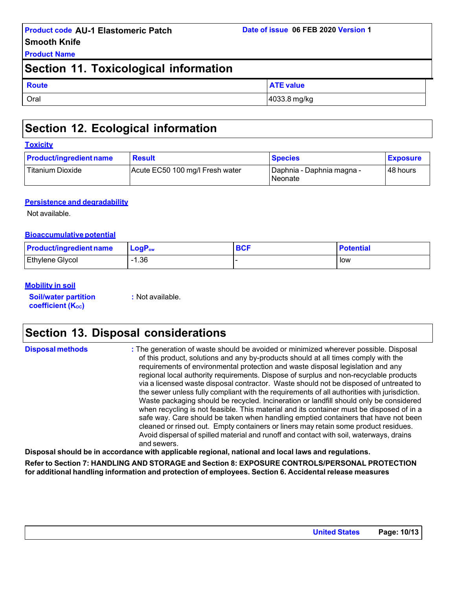**Product Name**

### **Section 11. Toxicological information**

| <b>Route</b> | <b>ATE value</b> |
|--------------|------------------|
| Oral         | 4033.8 mg/kg     |

# **Section 12. Ecological information**

| <b>Product/ingredient name</b> | <b>Result</b>                   | <b>Species</b>                              | <b>Exposure</b> |
|--------------------------------|---------------------------------|---------------------------------------------|-----------------|
| <b>Titanium Dioxide</b>        | Acute EC50 100 mg/l Fresh water | Daphnia - Daphnia magna -<br><b>Neonate</b> | 48 hours        |

### **Persistence and degradability**

Not available.

### **Bioaccumulative potential**

| <b>Product/ingredient name</b> | $\mathsf{LogP}_\mathsf{ow}$ | <b>BCF</b> | <b>Potential</b> |
|--------------------------------|-----------------------------|------------|------------------|
| <b>Ethylene Glycol</b>         | $-1.36$                     |            | low              |

### **Mobility in soil**

**Soil/water partition coefficient** (K<sub>oc</sub>)

**:** Not available.

# **Section 13. Disposal considerations**

| <b>Disposal methods</b> | : The generation of waste should be avoided or minimized wherever possible. Disposal<br>of this product, solutions and any by-products should at all times comply with the |
|-------------------------|----------------------------------------------------------------------------------------------------------------------------------------------------------------------------|
|                         | requirements of environmental protection and waste disposal legislation and any                                                                                            |
|                         | regional local authority requirements. Dispose of surplus and non-recyclable products                                                                                      |
|                         | via a licensed waste disposal contractor. Waste should not be disposed of untreated to                                                                                     |
|                         | the sewer unless fully compliant with the requirements of all authorities with jurisdiction                                                                                |
|                         | Westernamerical del propulso del priparction er londfill abould antulo perpidere                                                                                           |

r. Waste should not be disposed of untreated to e requirements of all authorities with jurisdiction. Waste packaging should be recycled. Incineration or landfill should only be considered when recycling is not feasible. This material and its container must be disposed of in a safe way. Care should be taken when handling emptied containers that have not been cleaned or rinsed out. Empty containers or liners may retain some product residues. Avoid dispersal of spilled material and runoff and contact with soil, waterways, drains and sewers.

**Disposal should be in accordance with applicable regional, national and local laws and regulations.**

**Refer to Section 7: HANDLING AND STORAGE and Section 8: EXPOSURE CONTROLS/PERSONAL PROTECTION for additional handling information and protection of employees. Section 6. Accidental release measures**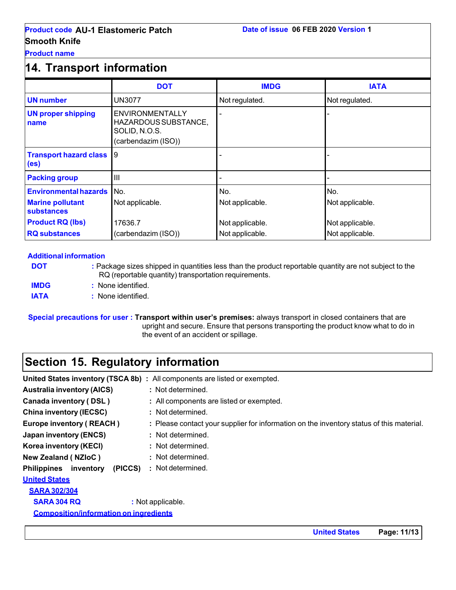**Product name**

# **14. Transport information**

|                                                      | <b>DOT</b>                                                                             | <b>IMDG</b>     | <b>IATA</b>     |
|------------------------------------------------------|----------------------------------------------------------------------------------------|-----------------|-----------------|
| <b>UN number</b>                                     | UN3077                                                                                 | Not regulated.  | Not regulated.  |
| <b>UN proper shipping</b><br>name                    | <b>ENVIRONMENTALLY</b><br>HAZARDOUS SUBSTANCE,<br>SOLID, N.O.S.<br>(carbendazim (ISO)) |                 |                 |
| <b>Transport hazard class</b> 9<br>(e <sub>s</sub> ) |                                                                                        |                 |                 |
| <b>Packing group</b>                                 | $\mathbf{III}$                                                                         |                 |                 |
| <b>Environmental hazards</b>                         | No.                                                                                    | No.             | No.             |
| <b>Marine pollutant</b><br>substances                | Not applicable.                                                                        | Not applicable. | Not applicable. |
| <b>Product RQ (lbs)</b>                              | 17636.7                                                                                | Not applicable. | Not applicable. |
| <b>RQ substances</b>                                 | (carbendazim (ISO))                                                                    | Not applicable. | Not applicable. |

### **Additional information**

| <b>DOT</b>  | : Package sizes shipped in quantities less than the product reportable quantity are not subject to the<br>RQ (reportable quantity) transportation requirements. |
|-------------|-----------------------------------------------------------------------------------------------------------------------------------------------------------------|
| <b>IMDG</b> | : None identified.                                                                                                                                              |
| <b>IATA</b> | : None identified.                                                                                                                                              |

**Special precautions for user : Transport within user's premises:** always transport in closed containers that are upright and secure. Ensure that persons transporting the product know what to do in the event of an accident or spillage.

# **Section 15. Regulatory information**

|                                               | <b>United States inventory (TSCA 8b) :</b> All components are listed or exempted.        |
|-----------------------------------------------|------------------------------------------------------------------------------------------|
| <b>Australia inventory (AICS)</b>             | : Not determined.                                                                        |
| Canada inventory (DSL)                        | : All components are listed or exempted.                                                 |
| <b>China inventory (IECSC)</b>                | : Not determined.                                                                        |
| <b>Europe inventory (REACH)</b>               | : Please contact your supplier for information on the inventory status of this material. |
| <b>Japan inventory (ENCS)</b>                 | : Not determined.                                                                        |
| Korea inventory (KECI)                        | : Not determined.                                                                        |
| New Zealand (NZIoC)                           | : Not determined.                                                                        |
| <b>Philippines</b> inventory<br>(PICCS)       | : Not determined.                                                                        |
| <b>United States</b>                          |                                                                                          |
| <b>SARA 302/304</b>                           |                                                                                          |
| <b>SARA 304 RQ</b>                            | : Not applicable.                                                                        |
| <b>Composition/information on ingredients</b> |                                                                                          |
|                                               |                                                                                          |

**United States Page: 11/13**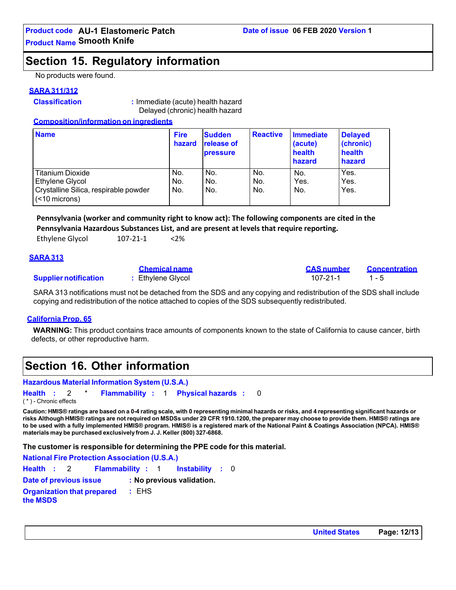### **Section 15. Regulatory information**

No products were found.

### **SARA 311/312**

**Classification :** Immediate (acute) health hazard Delayed (chronic) health hazard

### **Composition/information on ingredients**

| <b>Name</b>                                            | <b>Fire</b><br>hazard | <b>Sudden</b><br><b>release of</b><br><b>pressure</b> | <b>Reactive</b> | <b>Immediate</b><br>(acute)<br>health<br>hazard | <b>Delayed</b><br>(chronic)<br>health<br>hazard |
|--------------------------------------------------------|-----------------------|-------------------------------------------------------|-----------------|-------------------------------------------------|-------------------------------------------------|
| Titanium Dioxide                                       | No.                   | No.                                                   | No.             | No.                                             | Yes.                                            |
| Ethylene Glycol                                        | No.                   | No.                                                   | No.             | Yes.                                            | Yes.                                            |
| Crystalline Silica, respirable powder<br>(<10 microns) | No.                   | No.                                                   | No.             | No.                                             | Yes.                                            |

**Pennsylvania (worker and community right to know act): The following components are cited in the Pennsylvania Hazardous Substances List, and are present at levels that require reporting.**

Ethylene Glycol 107-21-1 <2%

### **SARA 313**

#### **Supplier notification** : Ethylene Glycol 107-21-1 1 - 5

SARA 313 notifications must not be detached from the SDS and any copying and redistribution of the SDS shall include copying and redistribution of the notice attached to copies of the SDS subsequently redistributed.

**Chemical name CAS number Concentration**

### **California Prop. 65**

**WARNING:** This product contains trace amounts of components known to the state of California to cause cancer, birth defects, or other reproductive harm.

### **Section 16. Other information**

|                         |  |         | Hazardous Material Information System (U.S.A.) |  |                                              |  |
|-------------------------|--|---------|------------------------------------------------|--|----------------------------------------------|--|
| Health : 2              |  | $\star$ |                                                |  | <b>Flammability : 1 Physical hazards : 0</b> |  |
| ( * ) - Chronic effects |  |         |                                                |  |                                              |  |

Caution: HMIS® ratings are based on a 0-4 rating scale, with 0 representing minimal hazards or risks, and 4 representing significant hazards or risks Although HMIS® ratings are not required on MSDSs under 29 CFR 1910.1200, the preparer may choose to provide them. HMIS® ratings are **to be used with a fully implemented HMIS® program. HMIS® is a registered mark of the National Paint & Coatings Association (NPCA). HMIS® materials may be purchased exclusively from J. J. Keller (800) 327-6868.**

**The customer is responsible for determining the PPE code for this material.**

**National Fire Protection Association (U.S.A.) Health :** 2 **Flammability :** 1 **Instability :** 0 **Date of previous issue : No previous validation. Organization that prepared the MSDS :** EHS